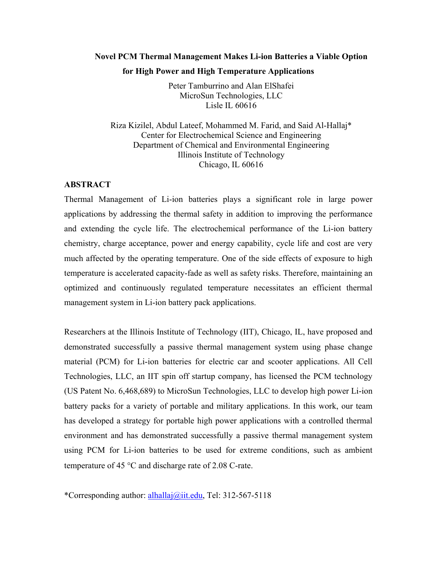# **Novel PCM Thermal Management Makes Li-ion Batteries a Viable Option for High Power and High Temperature Applications**

Peter Tamburrino and Alan ElShafei MicroSun Technologies, LLC Lisle IL 60616

Riza Kizilel, Abdul Lateef, Mohammed M. Farid, and Said Al-Hallaj\* Center for Electrochemical Science and Engineering Department of Chemical and Environmental Engineering Illinois Institute of Technology Chicago, IL 60616

## **ABSTRACT**

Thermal Management of Li-ion batteries plays a significant role in large power applications by addressing the thermal safety in addition to improving the performance and extending the cycle life. The electrochemical performance of the Li-ion battery chemistry, charge acceptance, power and energy capability, cycle life and cost are very much affected by the operating temperature. One of the side effects of exposure to high temperature is accelerated capacity-fade as well as safety risks. Therefore, maintaining an optimized and continuously regulated temperature necessitates an efficient thermal management system in Li-ion battery pack applications.

Researchers at the Illinois Institute of Technology (IIT), Chicago, IL, have proposed and demonstrated successfully a passive thermal management system using phase change material (PCM) for Li-ion batteries for electric car and scooter applications. All Cell Technologies, LLC, an IIT spin off startup company, has licensed the PCM technology (US Patent No. 6,468,689) to MicroSun Technologies, LLC to develop high power Li-ion battery packs for a variety of portable and military applications. In this work, our team has developed a strategy for portable high power applications with a controlled thermal environment and has demonstrated successfully a passive thermal management system using PCM for Li-ion batteries to be used for extreme conditions, such as ambient temperature of 45 °C and discharge rate of 2.08 C-rate.

\*Corresponding author: alhallaj@iit.edu, Tel: 312-567-5118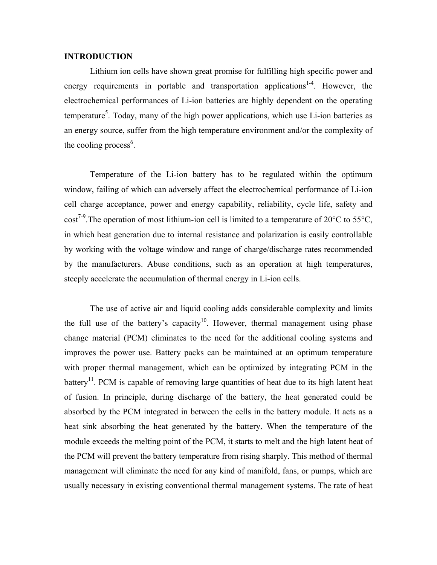## **INTRODUCTION**

Lithium ion cells have shown great promise for fulfilling high specific power and energy requirements in portable and transportation applications<sup>1-4</sup>. However, the electrochemical performances of Li-ion batteries are highly dependent on the operating temperature<sup>5</sup>. Today, many of the high power applications, which use Li-ion batteries as an energy source, suffer from the high temperature environment and/or the complexity of the cooling process<sup>6</sup>.

Temperature of the Li-ion battery has to be regulated within the optimum window, failing of which can adversely affect the electrochemical performance of Li-ion cell charge acceptance, power and energy capability, reliability, cycle life, safety and cost<sup>7-9</sup>. The operation of most lithium-ion cell is limited to a temperature of 20 $^{\circ}$ C to 55 $^{\circ}$ C, in which heat generation due to internal resistance and polarization is easily controllable by working with the voltage window and range of charge/discharge rates recommended by the manufacturers. Abuse conditions, such as an operation at high temperatures, steeply accelerate the accumulation of thermal energy in Li-ion cells.

 The use of active air and liquid cooling adds considerable complexity and limits the full use of the battery's capacity<sup>10</sup>. However, thermal management using phase change material (PCM) eliminates to the need for the additional cooling systems and improves the power use. Battery packs can be maintained at an optimum temperature with proper thermal management, which can be optimized by integrating PCM in the battery<sup>11</sup>. PCM is capable of removing large quantities of heat due to its high latent heat of fusion. In principle, during discharge of the battery, the heat generated could be absorbed by the PCM integrated in between the cells in the battery module. It acts as a heat sink absorbing the heat generated by the battery. When the temperature of the module exceeds the melting point of the PCM, it starts to melt and the high latent heat of the PCM will prevent the battery temperature from rising sharply. This method of thermal management will eliminate the need for any kind of manifold, fans, or pumps, which are usually necessary in existing conventional thermal management systems. The rate of heat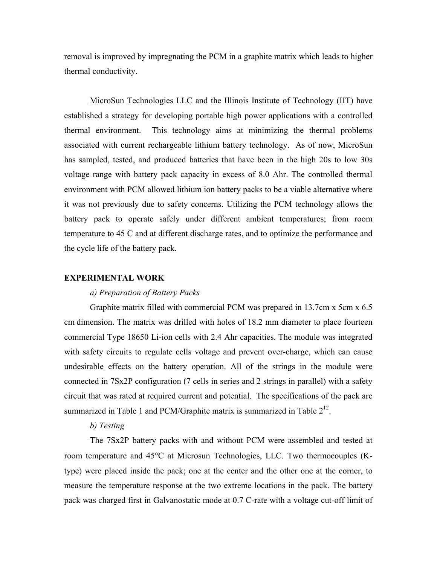removal is improved by impregnating the PCM in a graphite matrix which leads to higher thermal conductivity.

MicroSun Technologies LLC and the Illinois Institute of Technology (IIT) have established a strategy for developing portable high power applications with a controlled thermal environment. This technology aims at minimizing the thermal problems associated with current rechargeable lithium battery technology. As of now, MicroSun has sampled, tested, and produced batteries that have been in the high 20s to low 30s voltage range with battery pack capacity in excess of 8.0 Ahr. The controlled thermal environment with PCM allowed lithium ion battery packs to be a viable alternative where it was not previously due to safety concerns. Utilizing the PCM technology allows the battery pack to operate safely under different ambient temperatures; from room temperature to 45 C and at different discharge rates, and to optimize the performance and the cycle life of the battery pack.

#### **EXPERIMENTAL WORK**

## *a) Preparation of Battery Packs*

Graphite matrix filled with commercial PCM was prepared in 13.7cm x 5cm x 6.5 cm dimension. The matrix was drilled with holes of 18.2 mm diameter to place fourteen commercial Type 18650 Li-ion cells with 2.4 Ahr capacities. The module was integrated with safety circuits to regulate cells voltage and prevent over-charge, which can cause undesirable effects on the battery operation. All of the strings in the module were connected in 7Sx2P configuration (7 cells in series and 2 strings in parallel) with a safety circuit that was rated at required current and potential. The specifications of the pack are summarized in Table 1 and PCM/Graphite matrix is summarized in Table  $2^{12}$ .

## *b) Testing*

The 7Sx2P battery packs with and without PCM were assembled and tested at room temperature and 45°C at Microsun Technologies, LLC. Two thermocouples (Ktype) were placed inside the pack; one at the center and the other one at the corner, to measure the temperature response at the two extreme locations in the pack. The battery pack was charged first in Galvanostatic mode at 0.7 C-rate with a voltage cut-off limit of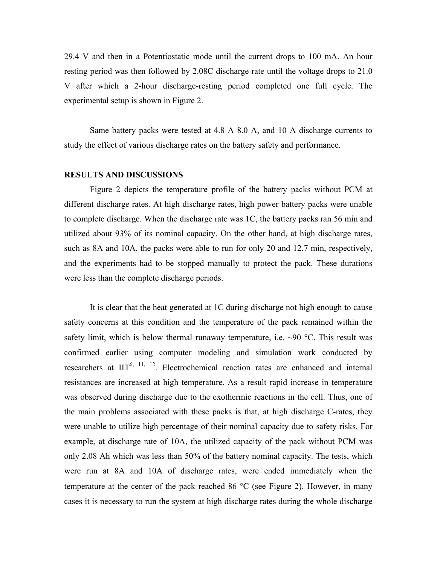29.4 V and then in a Potentiostatic mode until the current drops to 100 mA. An hour resting period was then followed by 2.08C discharge rate until the voltage drops to 21.0 V after which a 2-hour discharge-resting period completed one full cycle. The experimental setup is shown in Figure 2.

Same battery packs were tested at 4.8 A 8.0 A, and 10 A discharge currents to study the effect of various discharge rates on the battery safety and performance.

### **RESULTS AND DISCUSSIONS**

Figure 2 depicts the temperature profile of the battery packs without PCM at different discharge rates. At high discharge rates, high power battery packs were unable to complete discharge. When the discharge rate was 1C, the battery packs ran 56 min and utilized about 93% of its nominal capacity. On the other hand, at high discharge rates, such as 8A and 10A, the packs were able to run for only 20 and 12.7 min, respectively, and the experiments had to be stopped manually to protect the pack. These durations were less than the complete discharge periods.

It is clear that the heat generated at 1C during discharge not high enough to cause safety concerns at this condition and the temperature of the pack remained within the safety limit, which is below thermal runaway temperature, i.e.  $\sim$ 90 °C. This result was confirmed earlier using computer modeling and simulation work conducted by researchers at  $III^{6, 11, 12}$ . Electrochemical reaction rates are enhanced and internal resistances are increased at high temperature. As a result rapid increase in temperature was observed during discharge due to the exothermic reactions in the cell. Thus, one of the main problems associated with these packs is that, at high discharge C-rates, they were unable to utilize high percentage of their nominal capacity due to safety risks. For example, at discharge rate of 10A, the utilized capacity of the pack without PCM was only 2.08 Ah which was less than 50% of the battery nominal capacity. The tests, which were run at 8A and 10A of discharge rates, were ended immediately when the temperature at the center of the pack reached 86  $\degree$ C (see Figure 2). However, in many cases it is necessary to run the system at high discharge rates during the whole discharge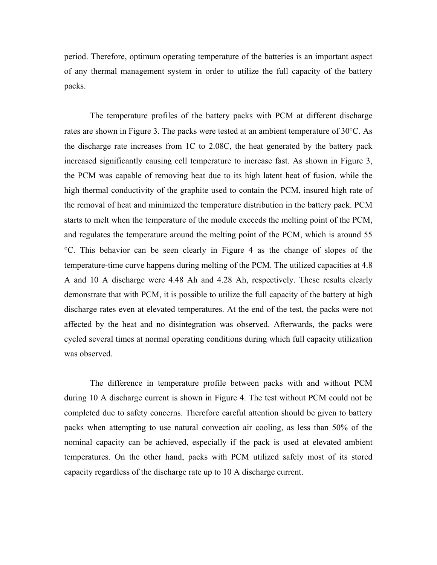period. Therefore, optimum operating temperature of the batteries is an important aspect of any thermal management system in order to utilize the full capacity of the battery packs.

The temperature profiles of the battery packs with PCM at different discharge rates are shown in Figure 3. The packs were tested at an ambient temperature of 30°C. As the discharge rate increases from 1C to 2.08C, the heat generated by the battery pack increased significantly causing cell temperature to increase fast. As shown in Figure 3, the PCM was capable of removing heat due to its high latent heat of fusion, while the high thermal conductivity of the graphite used to contain the PCM, insured high rate of the removal of heat and minimized the temperature distribution in the battery pack. PCM starts to melt when the temperature of the module exceeds the melting point of the PCM, and regulates the temperature around the melting point of the PCM, which is around 55 °C. This behavior can be seen clearly in Figure 4 as the change of slopes of the temperature-time curve happens during melting of the PCM. The utilized capacities at 4.8 A and 10 A discharge were 4.48 Ah and 4.28 Ah, respectively. These results clearly demonstrate that with PCM, it is possible to utilize the full capacity of the battery at high discharge rates even at elevated temperatures. At the end of the test, the packs were not affected by the heat and no disintegration was observed. Afterwards, the packs were cycled several times at normal operating conditions during which full capacity utilization was observed.

The difference in temperature profile between packs with and without PCM during 10 A discharge current is shown in Figure 4. The test without PCM could not be completed due to safety concerns. Therefore careful attention should be given to battery packs when attempting to use natural convection air cooling, as less than 50% of the nominal capacity can be achieved, especially if the pack is used at elevated ambient temperatures. On the other hand, packs with PCM utilized safely most of its stored capacity regardless of the discharge rate up to 10 A discharge current.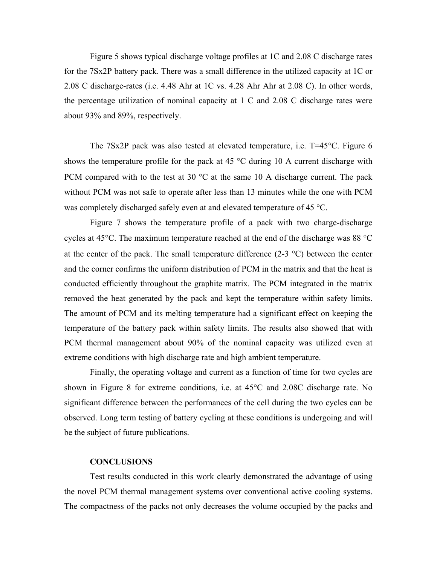Figure 5 shows typical discharge voltage profiles at 1C and 2.08 C discharge rates for the 7Sx2P battery pack. There was a small difference in the utilized capacity at 1C or 2.08 C discharge-rates (i.e. 4.48 Ahr at 1C vs. 4.28 Ahr Ahr at 2.08 C). In other words, the percentage utilization of nominal capacity at 1 C and 2.08 C discharge rates were about 93% and 89%, respectively.

The 7Sx2P pack was also tested at elevated temperature, i.e. T=45°C. Figure 6 shows the temperature profile for the pack at 45  $\degree$ C during 10 A current discharge with PCM compared with to the test at 30  $^{\circ}$ C at the same 10 A discharge current. The pack without PCM was not safe to operate after less than 13 minutes while the one with PCM was completely discharged safely even at and elevated temperature of 45 °C.

Figure 7 shows the temperature profile of a pack with two charge-discharge cycles at 45°C. The maximum temperature reached at the end of the discharge was 88 °C at the center of the pack. The small temperature difference  $(2-3 \text{ }^{\circ}C)$  between the center and the corner confirms the uniform distribution of PCM in the matrix and that the heat is conducted efficiently throughout the graphite matrix. The PCM integrated in the matrix removed the heat generated by the pack and kept the temperature within safety limits. The amount of PCM and its melting temperature had a significant effect on keeping the temperature of the battery pack within safety limits. The results also showed that with PCM thermal management about 90% of the nominal capacity was utilized even at extreme conditions with high discharge rate and high ambient temperature.

Finally, the operating voltage and current as a function of time for two cycles are shown in Figure 8 for extreme conditions, i.e. at 45°C and 2.08C discharge rate. No significant difference between the performances of the cell during the two cycles can be observed. Long term testing of battery cycling at these conditions is undergoing and will be the subject of future publications.

## **CONCLUSIONS**

Test results conducted in this work clearly demonstrated the advantage of using the novel PCM thermal management systems over conventional active cooling systems. The compactness of the packs not only decreases the volume occupied by the packs and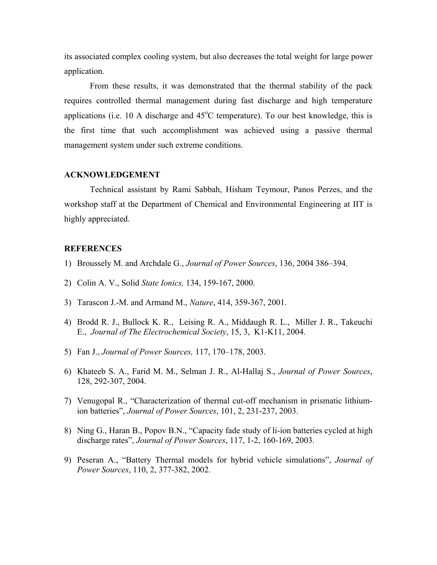its associated complex cooling system, but also decreases the total weight for large power application.

From these results, it was demonstrated that the thermal stability of the pack requires controlled thermal management during fast discharge and high temperature applications (i.e. 10 A discharge and  $45^{\circ}$ C temperature). To our best knowledge, this is the first time that such accomplishment was achieved using a passive thermal management system under such extreme conditions.

## **ACKNOWLEDGEMENT**

Technical assistant by Rami Sabbah, Hisham Teymour, Panos Perzes, and the workshop staff at the Department of Chemical and Environmental Engineering at IIT is highly appreciated.

## **REFERENCES**

- 1) Broussely M. and Archdale G., *Journal of Power Sources*, 136, 2004 386–394.
- 2) Colin A. V., Solid *State Ionics,* 134, 159-167, 2000.
- 3) Tarascon J.-M. and Armand M., *Nature*, 414, 359-367, 2001.
- 4) Brodd R. J., Bullock K. R., Leising R. A., Middaugh R. L., Miller J. R., Takeuchi E., *Journal of The Electrochemical Society*, 15, 3, K1-K11, 2004.
- 5) Fan J., *Journal of Power Sources,* 117, 170–178, 2003.
- 6) Khateeb S. A., Farid M. M., Selman J. R., Al-Hallaj S., *Journal of Power Sources*, 128, 292-307, 2004.
- 7) Venugopal R., "Characterization of thermal cut-off mechanism in prismatic lithiumion batteries", *Journal of Power Sources*, 101, 2, 231-237, 2003.
- 8) Ning G., Haran B., Popov B.N., "Capacity fade study of li-ion batteries cycled at high discharge rates", *Journal of Power Sources*, 117, 1-2, 160-169, 2003.
- 9) Peseran A., "Battery Thermal models for hybrid vehicle simulations", *Journal of Power Sources*, 110, 2, 377-382, 2002.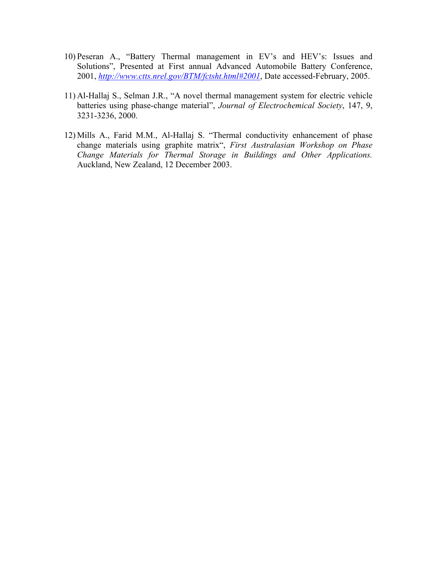- 10) Peseran A., "Battery Thermal management in EV's and HEV's: Issues and Solutions", Presented at First annual Advanced Automobile Battery Conference, 2001, *http://www.ctts.nrel.gov/BTM/fctsht.html#2001*, Date accessed-February, 2005.
- 11) Al-Hallaj S., Selman J.R., "A novel thermal management system for electric vehicle batteries using phase-change material", *Journal of Electrochemical Society*, 147, 9, 3231-3236, 2000.
- 12) Mills A., Farid M.M., Al-Hallaj S. "Thermal conductivity enhancement of phase change materials using graphite matrix", *First Australasian Workshop on Phase Change Materials for Thermal Storage in Buildings and Other Applications.* Auckland, New Zealand, 12 December 2003.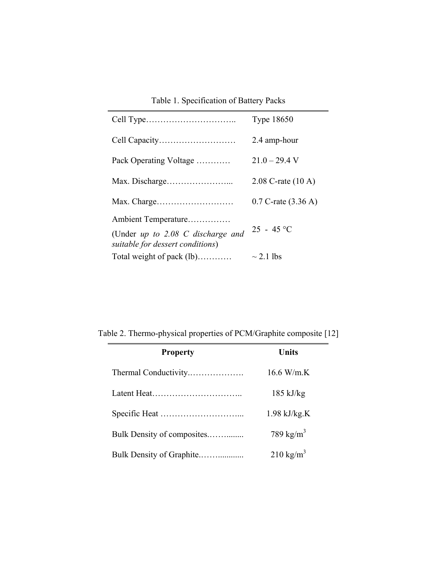| Table 1. Specification of Battery Packs |  |
|-----------------------------------------|--|
|-----------------------------------------|--|

|                                                                         | <b>Type 18650</b>               |  |
|-------------------------------------------------------------------------|---------------------------------|--|
|                                                                         | 2.4 amp-hour                    |  |
| Pack Operating Voltage                                                  | $21.0 - 29.4$ V                 |  |
|                                                                         | $2.08$ C-rate $(10 \text{ A})$  |  |
| Max. Charge                                                             | $0.7$ C-rate $(3.36 \text{ A})$ |  |
| Ambient Temperature                                                     |                                 |  |
| (Under $up$ to 2.08 C discharge and<br>suitable for dessert conditions) | $25 - 45$ °C                    |  |
| Total weight of pack (lb)                                               | $\sim$ 2.1 lbs                  |  |

Table 2. Thermo-physical properties of PCM/Graphite composite [12]

| <b>Property</b>            | Units                 |
|----------------------------|-----------------------|
|                            | 16.6 W/m.K            |
|                            | $185 \text{ kJ/kg}$   |
|                            | $1.98$ kJ/kg.K        |
| Bulk Density of composites | 789 kg/m <sup>3</sup> |
|                            | $210 \text{ kg/m}^3$  |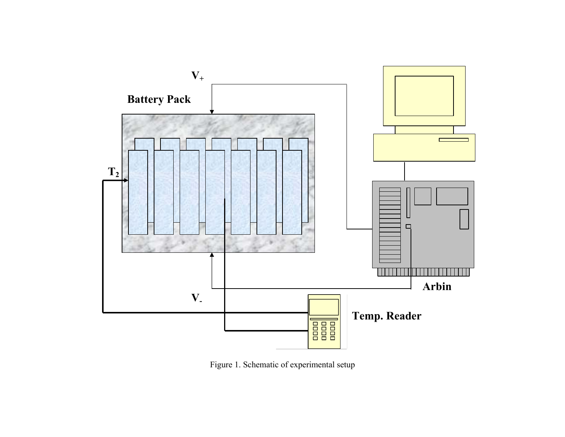

Figure 1. Schematic of experimental setup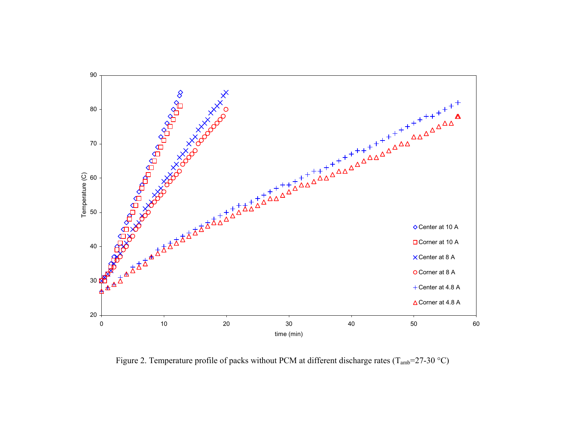

Figure 2. Temperature profile of packs without PCM at different discharge rates ( $T_{amb}$ =27-30 °C)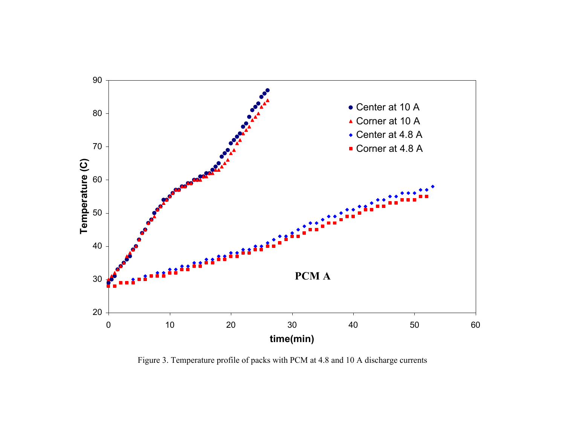

Figure 3. Temperature profile of packs with PCM at 4.8 and 10 A discharge currents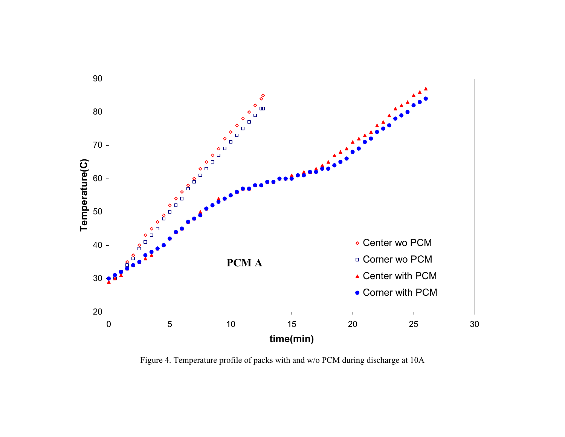

Figure 4. Temperature profile of packs with and w/o PCM during discharge at 10A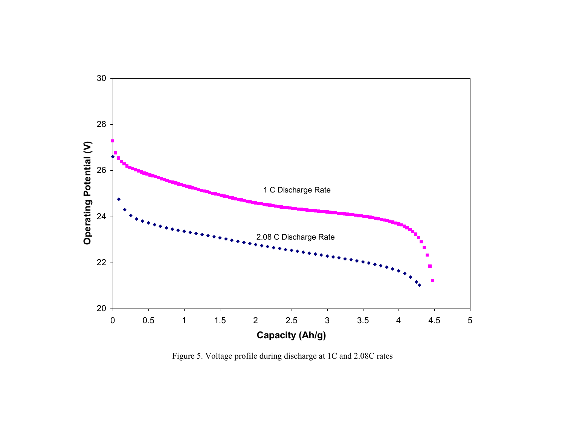

Figure 5. Voltage profile during discharge at 1C and 2.08C rates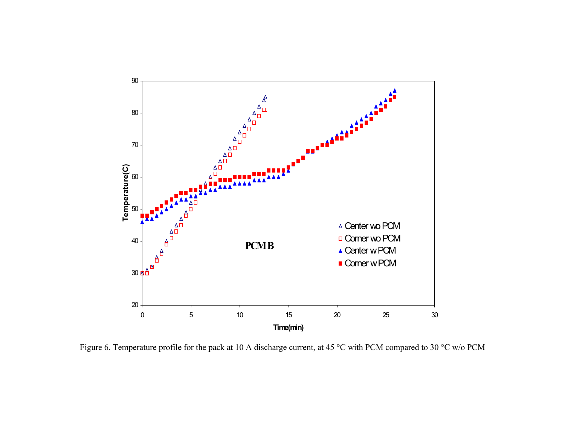

Figure 6. Temperature profile for the pack at 10 A discharge current, at 45 °C with PCM compared to 30 °C w/o PCM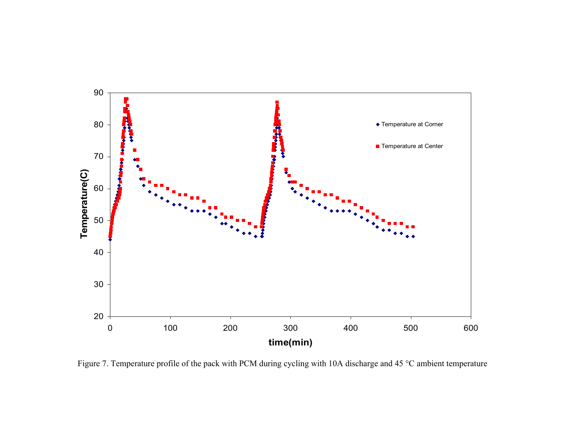

Figure 7. Temperature profile of the pack with PCM during cycling with 10A discharge and 45 °C ambient temperature